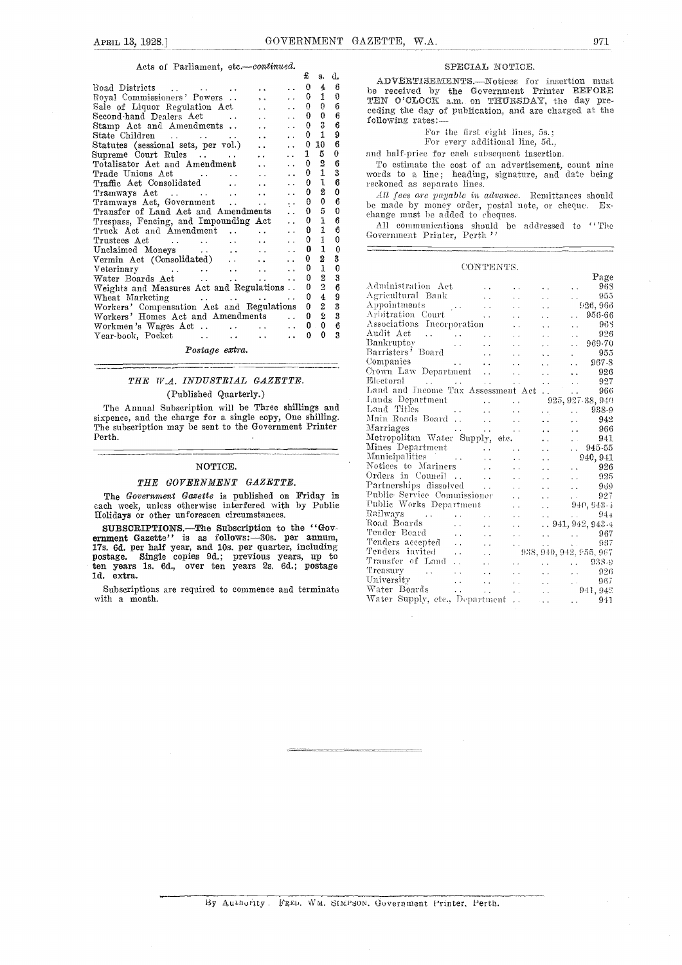#### Acts of Parliament, etc.-continued.

|                                           |                      |                      | £        | 8.             | d.               |    |
|-------------------------------------------|----------------------|----------------------|----------|----------------|------------------|----|
| Road Districts                            |                      |                      | 0        | 4              | 6                | b١ |
| Royal Commissioners' Powers               | $\ddot{\phantom{a}}$ |                      | 0        | 1              | 0                | T  |
| Sale of Liquor Regulation Act             |                      |                      | 0        | 0              | 6                | C) |
| Second-hand Dealers Act                   |                      |                      | 0        | 0              | 6                | f، |
| Stamp Act and Amendments                  | $\ddot{\phantom{a}}$ |                      | $\Omega$ | 3              | 6                |    |
|                                           | $\ddotsc$            |                      | 0.       | $\mathbf{1}$   | 9                |    |
| Statutes (sessional sets, per vol.).      |                      |                      | 0        | 10             | 6                |    |
| Supreme Court Rules                       |                      |                      | 1        | 5              | 0                | aı |
| Totalisator Act and Amendment             | $\sim 10^{-1}$       |                      | 0        | $\mathbf 2$    | 6                |    |
|                                           |                      |                      | 0        | $\mathbf{1}$   | 3                | W  |
| Traffic Act Consolidated                  | $\ddot{\phantom{0}}$ |                      | 0        | 1              | 6                | rє |
|                                           |                      |                      | 0        | $\overline{2}$ | 0                |    |
| Tramways Act, Government                  |                      | $\ddot{\phantom{0}}$ | 0        | 0              | 6                | bо |
| Transfer of Land Act and Amendments       |                      | $\ddot{\phantom{0}}$ | 0        | 5              | 0                | eł |
| Trespass, Fencing, and Impounding Act     |                      |                      | 0        | $\mathbf{1}$   | 6                |    |
| Truck Act and Amendment                   |                      |                      | 0        | $\mathbf{1}$   | 6                | G  |
|                                           |                      |                      | 0        | 1              | $\boldsymbol{0}$ |    |
| Unclaimed Moneys                          |                      |                      | 0        | 1              | 0                |    |
|                                           |                      |                      | 0.       | 2              | 3                |    |
|                                           |                      |                      | 0        | $\mathbf{1}$   | 0                |    |
|                                           |                      | . .                  | 0        | $\overline{2}$ | 3                |    |
| Weights and Measures Act and Regulations  |                      |                      | 0        | $\overline{2}$ | 6                | А  |
|                                           |                      |                      | 0        | 4              | 9                | А  |
| Workers' Compensation Act and Regulations |                      |                      | 0        | $\overline{2}$ | 3                | А  |
| Workers' Homes Act and Amendments         |                      |                      | 0        | Ž              | 3                | А  |
| Workmen's Wages Act                       |                      |                      | $0$ .    | $\mathbf{0}$   | 6                | А  |
|                                           |                      |                      | 0        | $\Omega$       | 3                | Α  |
|                                           |                      |                      |          |                |                  | 13 |

#### Postage extra.

### THE W.A. INDUSTRIAL GAZETTE. (Published Quarterly.)

The Annual Subscription will be Three shillings and sixpence, and the charge for a single copy, One shilling. The subscription may be sent to the Government Printer Perth.

#### NOTICE.

#### THE GOVERNMENT GAZETTE.

The Government Gazette is published on Friday in each week, unless otherwise interfered with by Public Holidays or other unforeseen circumstances.

SUBSCRIPTIONS.—The Subscription to the "Gov-<br>ernment Gazette" is as follows:-30s. per annum, 17s. 6d. per half year, and 10s, per quarter, including postage. Single copies 9d.; previous years, up to Tender ten years 1s. 6d., over ten years 2s. 6d.; postage  $T_{\text{ref}}$ ld. extra.

Subscriptions are required to commence and terminate with a month.

#### SPECIAL NOTICE.

 $\frac{0}{1}$   $\frac{4}{0}$  be received by the Government Printer BEFORE  $\frac{1}{0}$  or  $\frac{1}{0}$  average of  $\frac{1}{0}$  average  $\frac{1}{0}$  average  $\frac{1}{0}$  average  $\frac{1}{0}$  average  $\frac{1}{0}$  average  $\frac{1}{0}$  average  $\frac{1}{0}$  aver ADVERTISEMENTS.-Notices for insertion must ceding the day of publication, and are charged at the following rates:

> For the first eight lines, 5s.; For every additional line, 5d.,

and half-price for each subsequent insertion.

0 2 6 To estimate the cost of an advertisement, count nine<br>0 1 3 words to a line; heading, signature, and date being reckoned as separate lines.

All fees are payable in advance. Remittances should  $\alpha$  made by money order, postal note, or cheque. Exbe made by money order, postal note, or cheque. Exchange must be added to cheques.

All communications should be addressed to "The Government Printer, Perth "

#### CONTENTS.

|                                                                                                                                                                                                                                                                  |  | Page             |  |
|------------------------------------------------------------------------------------------------------------------------------------------------------------------------------------------------------------------------------------------------------------------|--|------------------|--|
|                                                                                                                                                                                                                                                                  |  | 968              |  |
| Agricultural Bank                                                                                                                                                                                                                                                |  | 955              |  |
|                                                                                                                                                                                                                                                                  |  |                  |  |
|                                                                                                                                                                                                                                                                  |  |                  |  |
|                                                                                                                                                                                                                                                                  |  |                  |  |
| Appintments<br>Appintments<br>Appintments<br>Appintments<br>Appintments<br>Appintments<br>Appintments<br>Appintments<br>Appintments<br>Appintments<br>Congranies<br>Congranies<br>Congranies<br>Congranies<br>Congranies<br>Congranies<br>Congranies<br>Congrani |  |                  |  |
|                                                                                                                                                                                                                                                                  |  |                  |  |
|                                                                                                                                                                                                                                                                  |  |                  |  |
|                                                                                                                                                                                                                                                                  |  |                  |  |
|                                                                                                                                                                                                                                                                  |  |                  |  |
| Electoral 927                                                                                                                                                                                                                                                    |  |                  |  |
| Land and Income Tax Assessment Act.                                                                                                                                                                                                                              |  | $\therefore$ 966 |  |
|                                                                                                                                                                                                                                                                  |  |                  |  |
|                                                                                                                                                                                                                                                                  |  |                  |  |
| 1 and 5 Department<br>Land Titles<br>Main Roads Board<br>Main Roads Board<br>Allen (1942)<br>Main Roads Board<br>Allen (1942)                                                                                                                                    |  |                  |  |
| Marriages 966                                                                                                                                                                                                                                                    |  |                  |  |
|                                                                                                                                                                                                                                                                  |  |                  |  |
| Matriages<br>Metropolitan Water Supply, etc.<br>Mines Department<br>Municipalities<br>Municipalities<br>Municipalities<br>Corders in Council<br>Corders in Council<br>Corders in Council<br>Corders in Council<br>Corders in Council<br>Public Servi             |  |                  |  |
|                                                                                                                                                                                                                                                                  |  |                  |  |
|                                                                                                                                                                                                                                                                  |  |                  |  |
|                                                                                                                                                                                                                                                                  |  |                  |  |
|                                                                                                                                                                                                                                                                  |  |                  |  |
|                                                                                                                                                                                                                                                                  |  |                  |  |
|                                                                                                                                                                                                                                                                  |  |                  |  |
|                                                                                                                                                                                                                                                                  |  |                  |  |
|                                                                                                                                                                                                                                                                  |  |                  |  |
|                                                                                                                                                                                                                                                                  |  |                  |  |
|                                                                                                                                                                                                                                                                  |  |                  |  |
|                                                                                                                                                                                                                                                                  |  |                  |  |
| Railways<br>Railways<br>Road Boards<br>Tender Board<br>Tender Separator (1994)<br>Tender State (1993)<br>Tenders invited<br>Contact (1993, 942, 955, 967<br>Tenders invited<br>Tenders of Land<br>Contact (1998, 942, 955, 967<br>Tenders of Land<br>C           |  |                  |  |
| Treasury 926                                                                                                                                                                                                                                                     |  |                  |  |
| University 1967                                                                                                                                                                                                                                                  |  |                  |  |
|                                                                                                                                                                                                                                                                  |  |                  |  |
| Water Boards<br>Water Supply, etc., Department 941<br>941                                                                                                                                                                                                        |  |                  |  |
|                                                                                                                                                                                                                                                                  |  |                  |  |